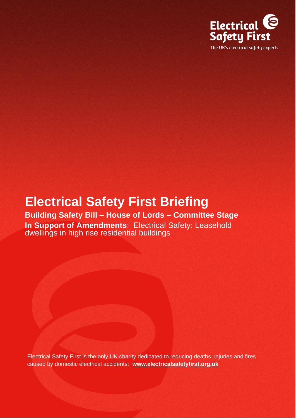

# **Electrical Safety First Briefing**

**Building Safety Bill – House of Lords – Committee Stage In Support of Amendments**: Electrical Safety: Leasehold dwellings in high rise residential buildings

Electrical Safety First is the only UK charity dedicated to reducing deaths, injuries and fires caused by domestic electrical accidents: **[www.electricalsafetyfirst.org.uk](http://www.electricalsafetyfirst.org.uk/)**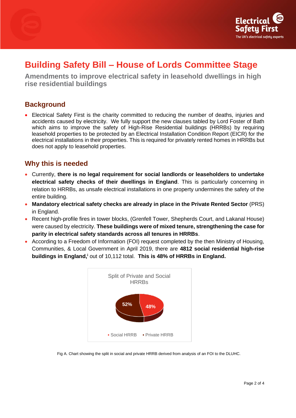



## **Building Safety Bill – House of Lords Committee Stage**

**Amendments to improve electrical safety in leasehold dwellings in high rise residential buildings** 

#### **Background**

• Electrical Safety First is the charity committed to reducing the number of deaths, injuries and accidents caused by electricity. We fully support the new clauses tabled by Lord Foster of Bath which aims to improve the safety of High-Rise Residential buildings (HRRBs) by requiring leasehold properties to be protected by an Electrical Installation Condition Report (EICR) for the electrical installations in their properties. This is required for privately rented homes in HRRBs but does not apply to leasehold properties.

#### **Why this is needed**

- Currently, **there is no legal requirement for social landlords or leaseholders to undertake electrical safety checks of their dwellings in England**. This is particularly concerning in relation to HRRBs, as unsafe electrical installations in one property undermines the safety of the entire building.
- **Mandatory electrical safety checks are already in place in the Private Rented Sector** (PRS) in England.
- Recent high-profile fires in tower blocks, (Grenfell Tower, Shepherds Court, and Lakanal House) were caused by electricity. **These buildings were of mixed tenure, strengthening the case for parity in electrical safety standards across all tenures in HRRBs**.
- According to a Freedom of Information (FOI) request completed by the then Ministry of Housing, Communities, & Local Government in April 2019, there are **4812 social residential high-rise buildings in England,<sup>i</sup>** out of 10,112 total. **This is 48% of HRRBs in England.**



Fig A. Chart showing the split in social and private HRRB derived from analysis of an FOI to the DLUHC.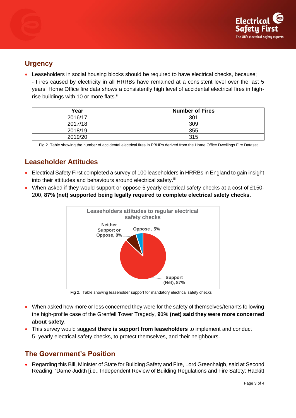

#### **Urgency**

• Leaseholders in social housing blocks should be required to have electrical checks, because;

- Fires caused by electricity in all HRRBs have remained at a consistent level over the last 5 years. Home Office fire data shows a consistently high level of accidental electrical fires in highrise buildings with 10 or more flats.<sup>ii</sup>

| Year    | <b>Number of Fires</b> |
|---------|------------------------|
| 2016/17 | 301                    |
| 2017/18 | 309                    |
| 2018/19 | 355                    |
| 2019/20 | 315                    |

Fig 2. Table showing the number of accidental electrical fires in PBHRs derived from the Home Office Dwellings Fire Dataset.

### **Leaseholder Attitudes**

- Electrical Safety First completed a survey of 100 leaseholders in HRRBs in England to gain insight into their attitudes and behaviours around electrical safety.<sup>iii</sup>
- When asked if they would support or oppose 5 yearly electrical safety checks at a cost of £150-200, **87% (net) supported being legally required to complete electrical safety checks.**



Fig 2. Table showing leaseholder support for mandatory electrical safety checks

- When asked how more or less concerned they were for the safety of themselves/tenants following the high-profile case of the Grenfell Tower Tragedy, **91% (net) said they were more concerned about safety**.
- This survey would suggest **there is support from leaseholders** to implement and conduct 5- yearly electrical safety checks, to protect themselves, and their neighbours.

#### **The Government's Position**

• Regarding this Bill, Minister of State for Building Safety and Fire, Lord Greenhalgh, said at Second Reading: 'Dame Judith [i.e., Independent Review of Building Regulations and Fire Safety: Hackitt